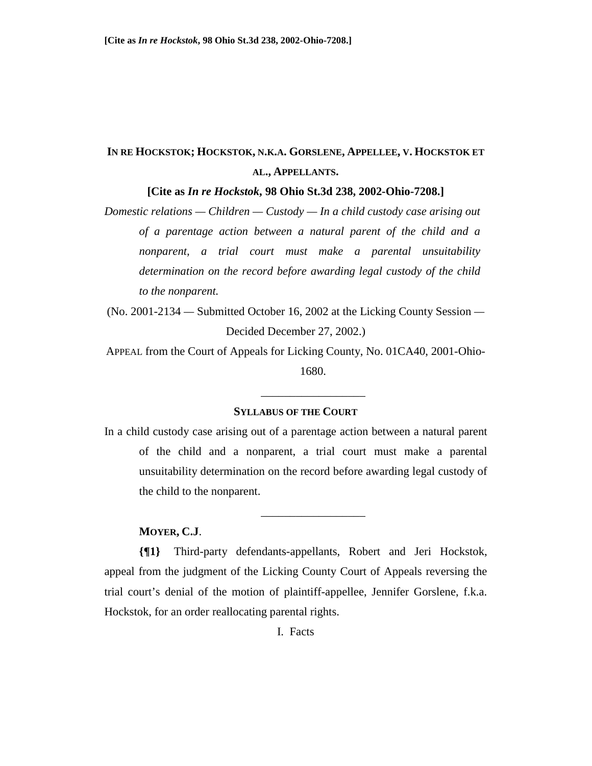# **IN RE HOCKSTOK; HOCKSTOK, N.K.A. GORSLENE, APPELLEE, V. HOCKSTOK ET AL., APPELLANTS.**

**[Cite as** *In re Hockstok***, 98 Ohio St.3d 238, 2002-Ohio-7208.]** 

*Domestic relations — Children — Custody — In a child custody case arising out of a parentage action between a natural parent of the child and a nonparent, a trial court must make a parental unsuitability determination on the record before awarding legal custody of the child to the nonparent.* 

(No. 2001-2134 *—* Submitted October 16, 2002 at the Licking County Session *—* Decided December 27, 2002.)

APPEAL from the Court of Appeals for Licking County, No. 01CA40, 2001-Ohio-1680.

### **SYLLABUS OF THE COURT**

\_\_\_\_\_\_\_\_\_\_\_\_\_\_\_\_\_\_

\_\_\_\_\_\_\_\_\_\_\_\_\_\_\_\_\_\_

In a child custody case arising out of a parentage action between a natural parent of the child and a nonparent, a trial court must make a parental unsuitability determination on the record before awarding legal custody of the child to the nonparent.

### **MOYER, C.J**.

**{¶1}** Third-party defendants-appellants, Robert and Jeri Hockstok, appeal from the judgment of the Licking County Court of Appeals reversing the trial court's denial of the motion of plaintiff-appellee, Jennifer Gorslene, f.k.a. Hockstok, for an order reallocating parental rights.

I. Facts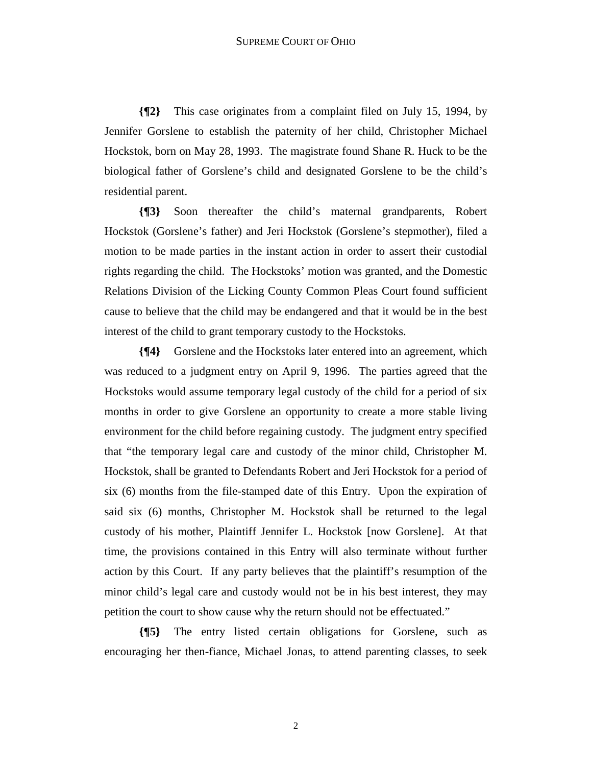**{¶2}** This case originates from a complaint filed on July 15, 1994, by Jennifer Gorslene to establish the paternity of her child, Christopher Michael Hockstok, born on May 28, 1993. The magistrate found Shane R. Huck to be the biological father of Gorslene's child and designated Gorslene to be the child's residential parent.

**{¶3}** Soon thereafter the child's maternal grandparents, Robert Hockstok (Gorslene's father) and Jeri Hockstok (Gorslene's stepmother), filed a motion to be made parties in the instant action in order to assert their custodial rights regarding the child. The Hockstoks' motion was granted, and the Domestic Relations Division of the Licking County Common Pleas Court found sufficient cause to believe that the child may be endangered and that it would be in the best interest of the child to grant temporary custody to the Hockstoks.

**{¶4}** Gorslene and the Hockstoks later entered into an agreement, which was reduced to a judgment entry on April 9, 1996. The parties agreed that the Hockstoks would assume temporary legal custody of the child for a period of six months in order to give Gorslene an opportunity to create a more stable living environment for the child before regaining custody. The judgment entry specified that "the temporary legal care and custody of the minor child, Christopher M. Hockstok, shall be granted to Defendants Robert and Jeri Hockstok for a period of six (6) months from the file-stamped date of this Entry. Upon the expiration of said six (6) months, Christopher M. Hockstok shall be returned to the legal custody of his mother, Plaintiff Jennifer L. Hockstok [now Gorslene]. At that time, the provisions contained in this Entry will also terminate without further action by this Court. If any party believes that the plaintiff's resumption of the minor child's legal care and custody would not be in his best interest, they may petition the court to show cause why the return should not be effectuated."

**{¶5}** The entry listed certain obligations for Gorslene, such as encouraging her then-fiance, Michael Jonas, to attend parenting classes, to seek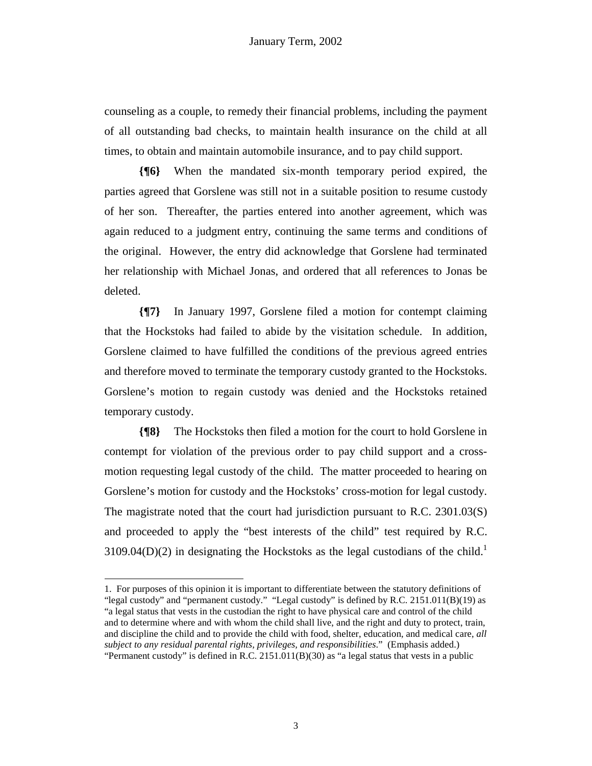counseling as a couple, to remedy their financial problems, including the payment of all outstanding bad checks, to maintain health insurance on the child at all times, to obtain and maintain automobile insurance, and to pay child support.

**{¶6}** When the mandated six-month temporary period expired, the parties agreed that Gorslene was still not in a suitable position to resume custody of her son. Thereafter, the parties entered into another agreement, which was again reduced to a judgment entry, continuing the same terms and conditions of the original. However, the entry did acknowledge that Gorslene had terminated her relationship with Michael Jonas, and ordered that all references to Jonas be deleted.

**{¶7}** In January 1997, Gorslene filed a motion for contempt claiming that the Hockstoks had failed to abide by the visitation schedule. In addition, Gorslene claimed to have fulfilled the conditions of the previous agreed entries and therefore moved to terminate the temporary custody granted to the Hockstoks. Gorslene's motion to regain custody was denied and the Hockstoks retained temporary custody.

**{¶8}** The Hockstoks then filed a motion for the court to hold Gorslene in contempt for violation of the previous order to pay child support and a crossmotion requesting legal custody of the child. The matter proceeded to hearing on Gorslene's motion for custody and the Hockstoks' cross-motion for legal custody. The magistrate noted that the court had jurisdiction pursuant to R.C. 2301.03(S) and proceeded to apply the "best interests of the child" test required by R.C. 3109.04(D)(2) in designating the Hockstoks as the legal custodians of the child.<sup>1</sup>

<sup>1</sup> 1. For purposes of this opinion it is important to differentiate between the statutory definitions of "legal custody" and "permanent custody." "Legal custody" is defined by R.C. 2151.011(B)(19) as "a legal status that vests in the custodian the right to have physical care and control of the child and to determine where and with whom the child shall live, and the right and duty to protect, train, and discipline the child and to provide the child with food, shelter, education, and medical care, *all subject to any residual parental rights, privileges, and responsibilities*." (Emphasis added.) "Permanent custody" is defined in R.C.  $2151.011(B)(30)$  as "a legal status that vests in a public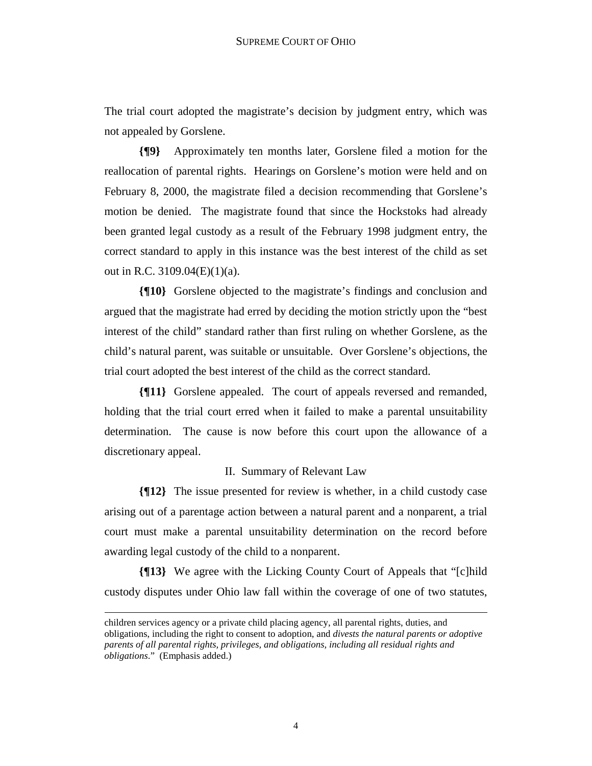The trial court adopted the magistrate's decision by judgment entry, which was not appealed by Gorslene.

**{¶9}** Approximately ten months later, Gorslene filed a motion for the reallocation of parental rights. Hearings on Gorslene's motion were held and on February 8, 2000, the magistrate filed a decision recommending that Gorslene's motion be denied. The magistrate found that since the Hockstoks had already been granted legal custody as a result of the February 1998 judgment entry, the correct standard to apply in this instance was the best interest of the child as set out in R.C. 3109.04(E)(1)(a).

**{¶10}** Gorslene objected to the magistrate's findings and conclusion and argued that the magistrate had erred by deciding the motion strictly upon the "best interest of the child" standard rather than first ruling on whether Gorslene, as the child's natural parent, was suitable or unsuitable. Over Gorslene's objections, the trial court adopted the best interest of the child as the correct standard.

**{¶11}** Gorslene appealed. The court of appeals reversed and remanded, holding that the trial court erred when it failed to make a parental unsuitability determination. The cause is now before this court upon the allowance of a discretionary appeal.

## II. Summary of Relevant Law

**{¶12}** The issue presented for review is whether, in a child custody case arising out of a parentage action between a natural parent and a nonparent, a trial court must make a parental unsuitability determination on the record before awarding legal custody of the child to a nonparent.

**{¶13}** We agree with the Licking County Court of Appeals that "[c]hild custody disputes under Ohio law fall within the coverage of one of two statutes,

 $\overline{a}$ 

children services agency or a private child placing agency, all parental rights, duties, and obligations, including the right to consent to adoption, and *divests the natural parents or adoptive parents of all parental rights, privileges, and obligations, including all residual rights and obligations*." (Emphasis added.)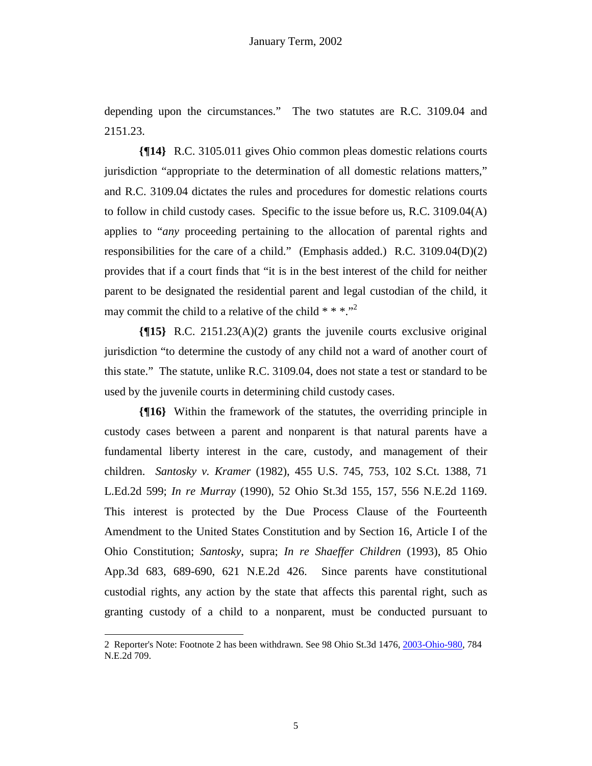depending upon the circumstances." The two statutes are R.C. 3109.04 and 2151.23.

**{¶14}** R.C. 3105.011 gives Ohio common pleas domestic relations courts jurisdiction "appropriate to the determination of all domestic relations matters," and R.C. 3109.04 dictates the rules and procedures for domestic relations courts to follow in child custody cases. Specific to the issue before us, R.C. 3109.04(A) applies to "*any* proceeding pertaining to the allocation of parental rights and responsibilities for the care of a child." (Emphasis added.) R.C. 3109.04(D)(2) provides that if a court finds that "it is in the best interest of the child for neither parent to be designated the residential parent and legal custodian of the child, it may commit the child to a relative of the child  $***$ .<sup>2</sup>

**{¶15}** R.C. 2151.23(A)(2) grants the juvenile courts exclusive original jurisdiction "to determine the custody of any child not a ward of another court of this state." The statute, unlike R.C. 3109.04, does not state a test or standard to be used by the juvenile courts in determining child custody cases.

**{¶16}** Within the framework of the statutes, the overriding principle in custody cases between a parent and nonparent is that natural parents have a fundamental liberty interest in the care, custody, and management of their children. *Santosky v. Kramer* (1982), 455 U.S. 745, 753, 102 S.Ct. 1388, 71 L.Ed.2d 599; *In re Murray* (1990), 52 Ohio St.3d 155, 157, 556 N.E.2d 1169. This interest is protected by the Due Process Clause of the Fourteenth Amendment to the United States Constitution and by Section 16, Article I of the Ohio Constitution; *Santosky*, supra; *In re Shaeffer Children* (1993), 85 Ohio App.3d 683, 689-690, 621 N.E.2d 426. Since parents have constitutional custodial rights, any action by the state that affects this parental right, such as granting custody of a child to a nonparent, must be conducted pursuant to

-

<sup>2</sup> Reporter's Note: Footnote 2 has been withdrawn. See 98 Ohio St.3d 1476, 2003-Ohio-980, 784 N.E.2d 709.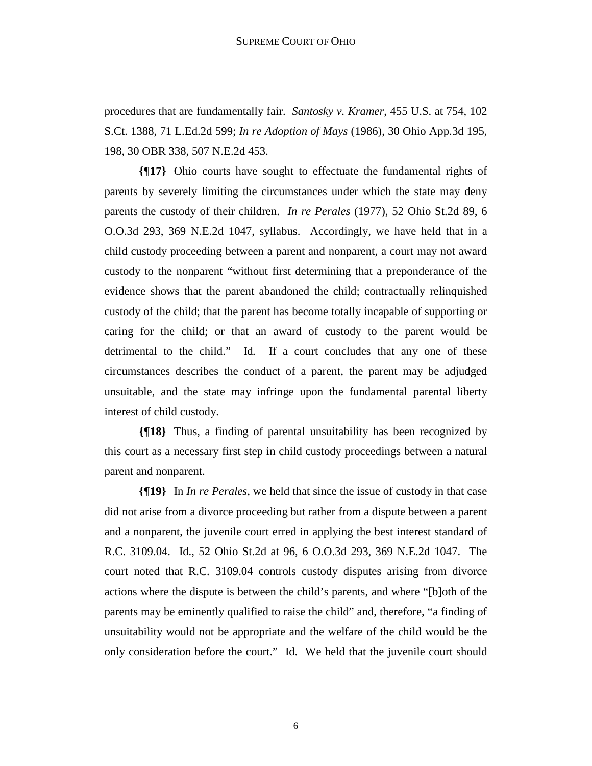procedures that are fundamentally fair. *Santosky v. Kramer*, 455 U.S. at 754, 102 S.Ct. 1388, 71 L.Ed.2d 599; *In re Adoption of Mays* (1986), 30 Ohio App.3d 195, 198, 30 OBR 338, 507 N.E.2d 453.

**{¶17}** Ohio courts have sought to effectuate the fundamental rights of parents by severely limiting the circumstances under which the state may deny parents the custody of their children. *In re Perales* (1977), 52 Ohio St.2d 89, 6 O.O.3d 293, 369 N.E.2d 1047, syllabus. Accordingly, we have held that in a child custody proceeding between a parent and nonparent, a court may not award custody to the nonparent "without first determining that a preponderance of the evidence shows that the parent abandoned the child; contractually relinquished custody of the child; that the parent has become totally incapable of supporting or caring for the child; or that an award of custody to the parent would be detrimental to the child." Id*.* If a court concludes that any one of these circumstances describes the conduct of a parent, the parent may be adjudged unsuitable, and the state may infringe upon the fundamental parental liberty interest of child custody.

**{¶18}** Thus, a finding of parental unsuitability has been recognized by this court as a necessary first step in child custody proceedings between a natural parent and nonparent.

**{¶19}** In *In re Perales*, we held that since the issue of custody in that case did not arise from a divorce proceeding but rather from a dispute between a parent and a nonparent, the juvenile court erred in applying the best interest standard of R.C. 3109.04. Id., 52 Ohio St.2d at 96, 6 O.O.3d 293, 369 N.E.2d 1047. The court noted that R.C. 3109.04 controls custody disputes arising from divorce actions where the dispute is between the child's parents, and where "[b]oth of the parents may be eminently qualified to raise the child" and, therefore, "a finding of unsuitability would not be appropriate and the welfare of the child would be the only consideration before the court." Id. We held that the juvenile court should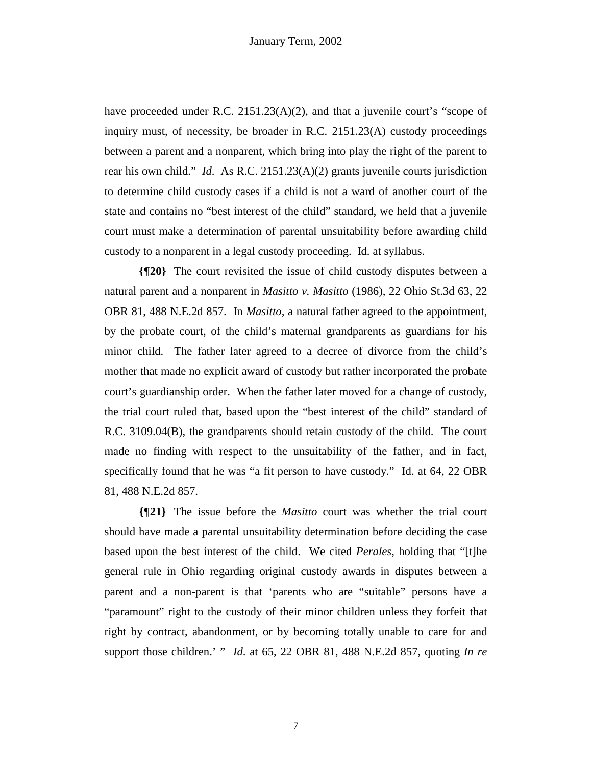have proceeded under R.C. 2151.23(A)(2), and that a juvenile court's "scope of inquiry must, of necessity, be broader in R.C. 2151.23(A) custody proceedings between a parent and a nonparent, which bring into play the right of the parent to rear his own child." *Id*. As R.C. 2151.23(A)(2) grants juvenile courts jurisdiction to determine child custody cases if a child is not a ward of another court of the state and contains no "best interest of the child" standard, we held that a juvenile court must make a determination of parental unsuitability before awarding child custody to a nonparent in a legal custody proceeding. Id. at syllabus.

**{¶20}** The court revisited the issue of child custody disputes between a natural parent and a nonparent in *Masitto v. Masitto* (1986), 22 Ohio St.3d 63, 22 OBR 81, 488 N.E.2d 857. In *Masitto,* a natural father agreed to the appointment, by the probate court, of the child's maternal grandparents as guardians for his minor child. The father later agreed to a decree of divorce from the child's mother that made no explicit award of custody but rather incorporated the probate court's guardianship order. When the father later moved for a change of custody, the trial court ruled that, based upon the "best interest of the child" standard of R.C. 3109.04(B), the grandparents should retain custody of the child. The court made no finding with respect to the unsuitability of the father, and in fact, specifically found that he was "a fit person to have custody." Id. at 64, 22 OBR 81, 488 N.E.2d 857.

**{¶21}** The issue before the *Masitto* court was whether the trial court should have made a parental unsuitability determination before deciding the case based upon the best interest of the child. We cited *Perales,* holding that "[t]he general rule in Ohio regarding original custody awards in disputes between a parent and a non-parent is that 'parents who are "suitable" persons have a "paramount" right to the custody of their minor children unless they forfeit that right by contract, abandonment, or by becoming totally unable to care for and support those children.' " *Id*. at 65, 22 OBR 81, 488 N.E.2d 857, quoting *In re* 

7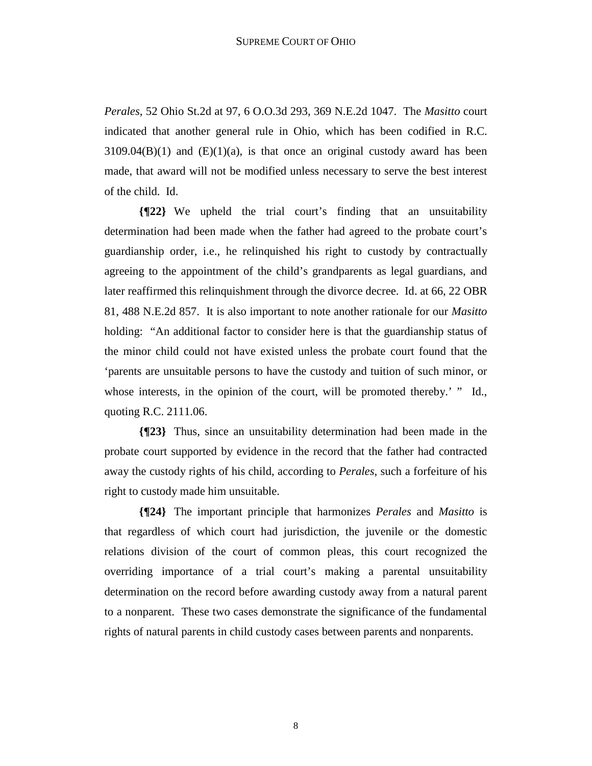*Perales*, 52 Ohio St.2d at 97, 6 O.O.3d 293, 369 N.E.2d 1047. The *Masitto* court indicated that another general rule in Ohio, which has been codified in R.C.  $3109.04(B)(1)$  and  $(E)(1)(a)$ , is that once an original custody award has been made, that award will not be modified unless necessary to serve the best interest of the child. Id.

**{¶22}** We upheld the trial court's finding that an unsuitability determination had been made when the father had agreed to the probate court's guardianship order, i.e., he relinquished his right to custody by contractually agreeing to the appointment of the child's grandparents as legal guardians, and later reaffirmed this relinquishment through the divorce decree. Id. at 66, 22 OBR 81, 488 N.E.2d 857. It is also important to note another rationale for our *Masitto* holding: "An additional factor to consider here is that the guardianship status of the minor child could not have existed unless the probate court found that the 'parents are unsuitable persons to have the custody and tuition of such minor, or whose interests, in the opinion of the court, will be promoted thereby.' " Id., quoting R.C. 2111.06.

**{¶23}** Thus, since an unsuitability determination had been made in the probate court supported by evidence in the record that the father had contracted away the custody rights of his child, according to *Perales*, such a forfeiture of his right to custody made him unsuitable.

**{¶24}** The important principle that harmonizes *Perales* and *Masitto* is that regardless of which court had jurisdiction, the juvenile or the domestic relations division of the court of common pleas, this court recognized the overriding importance of a trial court's making a parental unsuitability determination on the record before awarding custody away from a natural parent to a nonparent. These two cases demonstrate the significance of the fundamental rights of natural parents in child custody cases between parents and nonparents.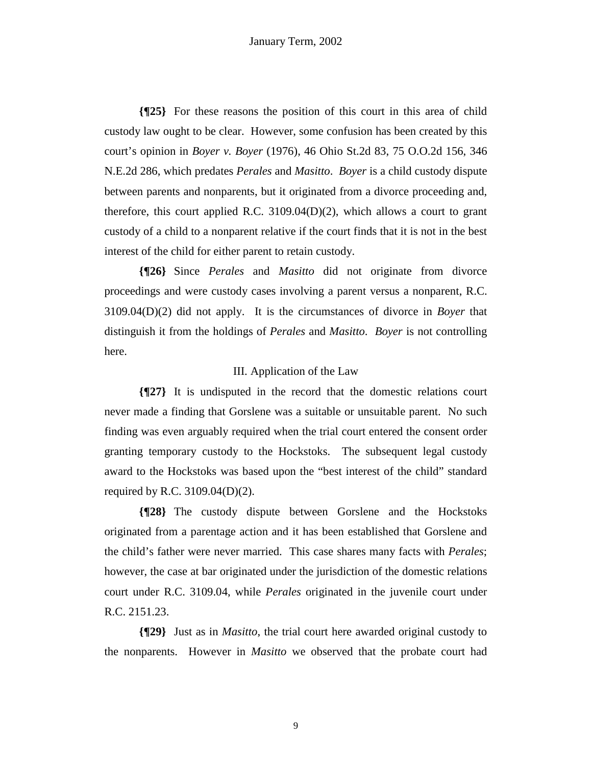**{¶25}** For these reasons the position of this court in this area of child custody law ought to be clear. However, some confusion has been created by this court's opinion in *Boyer v. Boyer* (1976), 46 Ohio St.2d 83, 75 O.O.2d 156, 346 N.E.2d 286, which predates *Perales* and *Masitto*. *Boyer* is a child custody dispute between parents and nonparents, but it originated from a divorce proceeding and, therefore, this court applied R.C.  $3109.04(D)(2)$ , which allows a court to grant custody of a child to a nonparent relative if the court finds that it is not in the best interest of the child for either parent to retain custody.

**{¶26}** Since *Perales* and *Masitto* did not originate from divorce proceedings and were custody cases involving a parent versus a nonparent, R.C. 3109.04(D)(2) did not apply. It is the circumstances of divorce in *Boyer* that distinguish it from the holdings of *Perales* and *Masitto*. *Boyer* is not controlling here.

### III. Application of the Law

**{¶27}** It is undisputed in the record that the domestic relations court never made a finding that Gorslene was a suitable or unsuitable parent. No such finding was even arguably required when the trial court entered the consent order granting temporary custody to the Hockstoks. The subsequent legal custody award to the Hockstoks was based upon the "best interest of the child" standard required by R.C. 3109.04(D)(2).

**{¶28}** The custody dispute between Gorslene and the Hockstoks originated from a parentage action and it has been established that Gorslene and the child's father were never married. This case shares many facts with *Perales*; however, the case at bar originated under the jurisdiction of the domestic relations court under R.C. 3109.04, while *Perales* originated in the juvenile court under R.C. 2151.23.

**{¶29}** Just as in *Masitto*, the trial court here awarded original custody to the nonparents. However in *Masitto* we observed that the probate court had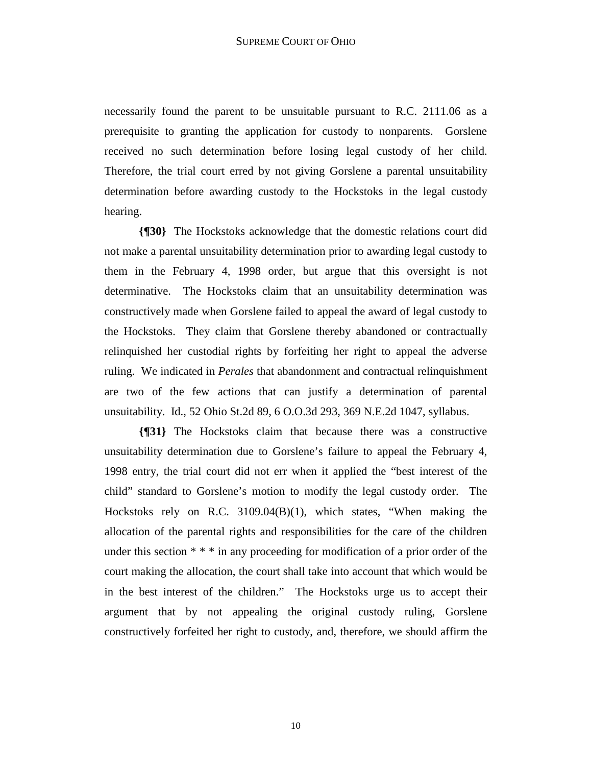necessarily found the parent to be unsuitable pursuant to R.C. 2111.06 as a prerequisite to granting the application for custody to nonparents. Gorslene received no such determination before losing legal custody of her child. Therefore, the trial court erred by not giving Gorslene a parental unsuitability determination before awarding custody to the Hockstoks in the legal custody hearing.

**{¶30}** The Hockstoks acknowledge that the domestic relations court did not make a parental unsuitability determination prior to awarding legal custody to them in the February 4, 1998 order, but argue that this oversight is not determinative. The Hockstoks claim that an unsuitability determination was constructively made when Gorslene failed to appeal the award of legal custody to the Hockstoks. They claim that Gorslene thereby abandoned or contractually relinquished her custodial rights by forfeiting her right to appeal the adverse ruling. We indicated in *Perales* that abandonment and contractual relinquishment are two of the few actions that can justify a determination of parental unsuitability. Id., 52 Ohio St.2d 89, 6 O.O.3d 293, 369 N.E.2d 1047, syllabus.

**{¶31}** The Hockstoks claim that because there was a constructive unsuitability determination due to Gorslene's failure to appeal the February 4, 1998 entry, the trial court did not err when it applied the "best interest of the child" standard to Gorslene's motion to modify the legal custody order. The Hockstoks rely on R.C. 3109.04(B)(1), which states, "When making the allocation of the parental rights and responsibilities for the care of the children under this section \* \* \* in any proceeding for modification of a prior order of the court making the allocation, the court shall take into account that which would be in the best interest of the children." The Hockstoks urge us to accept their argument that by not appealing the original custody ruling, Gorslene constructively forfeited her right to custody, and, therefore, we should affirm the

10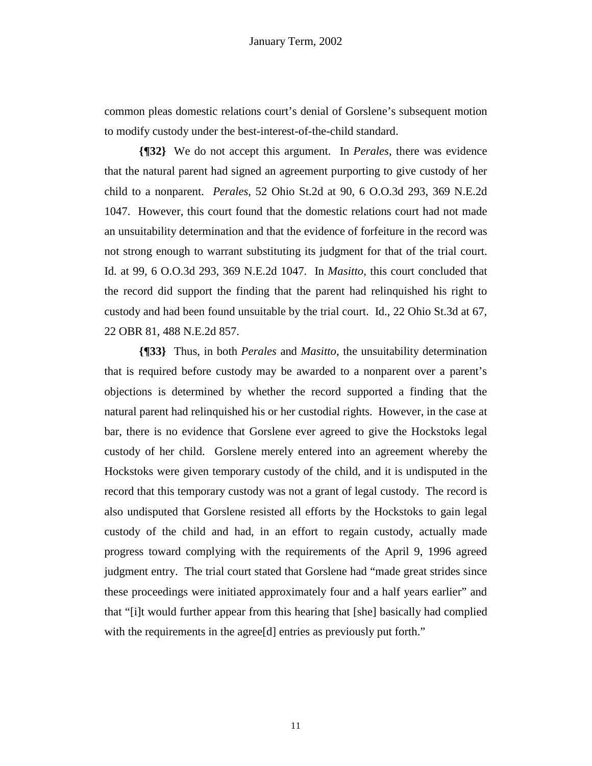common pleas domestic relations court's denial of Gorslene's subsequent motion to modify custody under the best-interest-of-the-child standard.

**{¶32}** We do not accept this argument. In *Perales,* there was evidence that the natural parent had signed an agreement purporting to give custody of her child to a nonparent. *Perales*, 52 Ohio St.2d at 90, 6 O.O.3d 293, 369 N.E.2d 1047. However, this court found that the domestic relations court had not made an unsuitability determination and that the evidence of forfeiture in the record was not strong enough to warrant substituting its judgment for that of the trial court. Id. at 99, 6 O.O.3d 293, 369 N.E.2d 1047. In *Masitto*, this court concluded that the record did support the finding that the parent had relinquished his right to custody and had been found unsuitable by the trial court. Id., 22 Ohio St.3d at 67, 22 OBR 81, 488 N.E.2d 857.

**{¶33}** Thus, in both *Perales* and *Masitto*, the unsuitability determination that is required before custody may be awarded to a nonparent over a parent's objections is determined by whether the record supported a finding that the natural parent had relinquished his or her custodial rights. However, in the case at bar, there is no evidence that Gorslene ever agreed to give the Hockstoks legal custody of her child. Gorslene merely entered into an agreement whereby the Hockstoks were given temporary custody of the child, and it is undisputed in the record that this temporary custody was not a grant of legal custody. The record is also undisputed that Gorslene resisted all efforts by the Hockstoks to gain legal custody of the child and had, in an effort to regain custody, actually made progress toward complying with the requirements of the April 9, 1996 agreed judgment entry. The trial court stated that Gorslene had "made great strides since these proceedings were initiated approximately four and a half years earlier" and that "[i]t would further appear from this hearing that [she] basically had complied with the requirements in the agree<sup>[d]</sup> entries as previously put forth."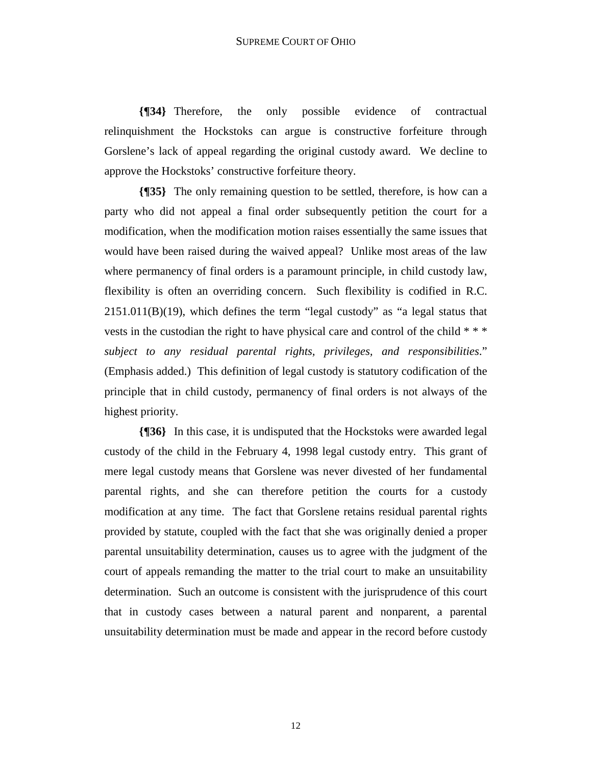**{¶34}** Therefore, the only possible evidence of contractual relinquishment the Hockstoks can argue is constructive forfeiture through Gorslene's lack of appeal regarding the original custody award. We decline to approve the Hockstoks' constructive forfeiture theory.

**{¶35}** The only remaining question to be settled, therefore, is how can a party who did not appeal a final order subsequently petition the court for a modification, when the modification motion raises essentially the same issues that would have been raised during the waived appeal? Unlike most areas of the law where permanency of final orders is a paramount principle, in child custody law, flexibility is often an overriding concern. Such flexibility is codified in R.C.  $2151.011(B)(19)$ , which defines the term "legal custody" as "a legal status that vests in the custodian the right to have physical care and control of the child \* \* \* *subject to any residual parental rights, privileges, and responsibilities*." (Emphasis added.) This definition of legal custody is statutory codification of the principle that in child custody, permanency of final orders is not always of the highest priority.

**{¶36}** In this case, it is undisputed that the Hockstoks were awarded legal custody of the child in the February 4, 1998 legal custody entry. This grant of mere legal custody means that Gorslene was never divested of her fundamental parental rights, and she can therefore petition the courts for a custody modification at any time. The fact that Gorslene retains residual parental rights provided by statute, coupled with the fact that she was originally denied a proper parental unsuitability determination, causes us to agree with the judgment of the court of appeals remanding the matter to the trial court to make an unsuitability determination. Such an outcome is consistent with the jurisprudence of this court that in custody cases between a natural parent and nonparent, a parental unsuitability determination must be made and appear in the record before custody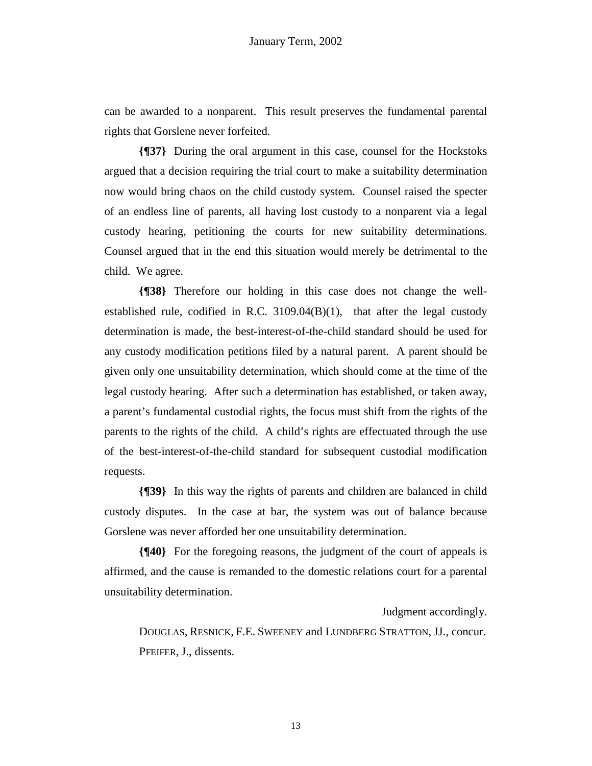can be awarded to a nonparent. This result preserves the fundamental parental rights that Gorslene never forfeited.

**{¶37}** During the oral argument in this case, counsel for the Hockstoks argued that a decision requiring the trial court to make a suitability determination now would bring chaos on the child custody system. Counsel raised the specter of an endless line of parents, all having lost custody to a nonparent via a legal custody hearing, petitioning the courts for new suitability determinations. Counsel argued that in the end this situation would merely be detrimental to the child. We agree.

**{¶38}** Therefore our holding in this case does not change the wellestablished rule, codified in R.C. 3109.04(B)(1), that after the legal custody determination is made, the best-interest-of-the-child standard should be used for any custody modification petitions filed by a natural parent. A parent should be given only one unsuitability determination, which should come at the time of the legal custody hearing. After such a determination has established, or taken away, a parent's fundamental custodial rights, the focus must shift from the rights of the parents to the rights of the child. A child's rights are effectuated through the use of the best-interest-of-the-child standard for subsequent custodial modification requests.

**{¶39}** In this way the rights of parents and children are balanced in child custody disputes. In the case at bar, the system was out of balance because Gorslene was never afforded her one unsuitability determination.

**{¶40}** For the foregoing reasons, the judgment of the court of appeals is affirmed, and the cause is remanded to the domestic relations court for a parental unsuitability determination.

Judgment accordingly.

 DOUGLAS, RESNICK, F.E. SWEENEY and LUNDBERG STRATTON, JJ., concur. PFEIFER, J., dissents.

13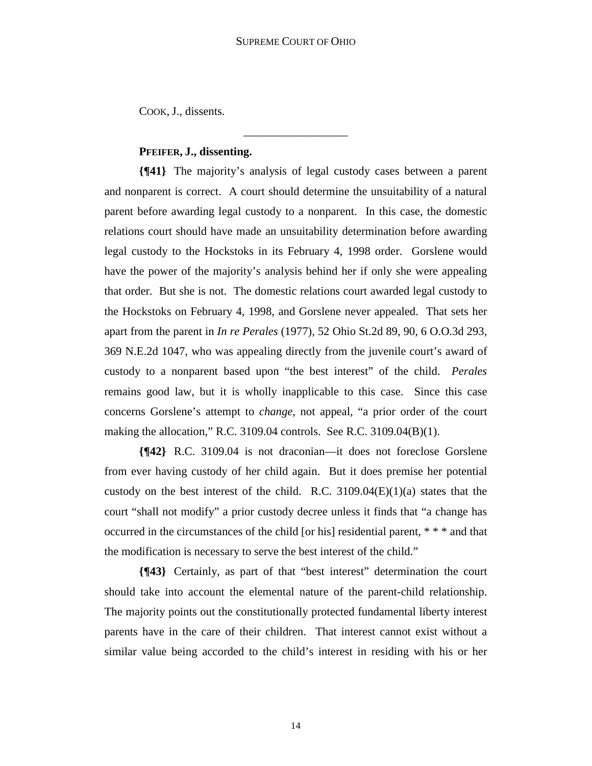\_\_\_\_\_\_\_\_\_\_\_\_\_\_\_\_\_\_

COOK, J., dissents.

# **PFEIFER, J., dissenting.**

**{¶41}** The majority's analysis of legal custody cases between a parent and nonparent is correct. A court should determine the unsuitability of a natural parent before awarding legal custody to a nonparent. In this case, the domestic relations court should have made an unsuitability determination before awarding legal custody to the Hockstoks in its February 4, 1998 order. Gorslene would have the power of the majority's analysis behind her if only she were appealing that order. But she is not. The domestic relations court awarded legal custody to the Hockstoks on February 4, 1998, and Gorslene never appealed. That sets her apart from the parent in *In re Perales* (1977), 52 Ohio St.2d 89, 90, 6 O.O.3d 293, 369 N.E.2d 1047, who was appealing directly from the juvenile court's award of custody to a nonparent based upon "the best interest" of the child. *Perales* remains good law, but it is wholly inapplicable to this case. Since this case concerns Gorslene's attempt to *change*, not appeal, "a prior order of the court making the allocation," R.C. 3109.04 controls. See R.C. 3109.04(B)(1).

**{¶42}** R.C. 3109.04 is not draconian—it does not foreclose Gorslene from ever having custody of her child again. But it does premise her potential custody on the best interest of the child. R.C.  $3109.04(E)(1)(a)$  states that the court "shall not modify" a prior custody decree unless it finds that "a change has occurred in the circumstances of the child [or his] residential parent, \* \* \* and that the modification is necessary to serve the best interest of the child."

**{¶43}** Certainly, as part of that "best interest" determination the court should take into account the elemental nature of the parent-child relationship. The majority points out the constitutionally protected fundamental liberty interest parents have in the care of their children. That interest cannot exist without a similar value being accorded to the child's interest in residing with his or her